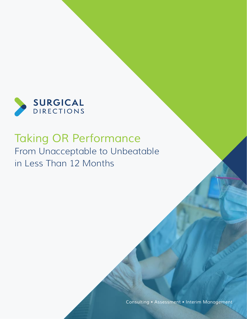

# *Taking OR Performance* From Unacceptable to Unbeatable in Less Than 12 Months

*Consulting • Assessment • Interim Management*

www.surgicaldirections.com 1999 and 1999 and 1999 and 1999 and 1999 and 1999 and 1999 and 1999 and 1999 and 1999 and 1999 and 1999 and 1999 and 1999 and 1999 and 1999 and 1999 and 1999 and 1999 and 1999 and 1999 and 1999 a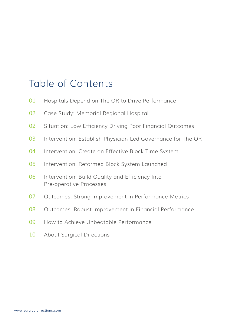# Table of Contents

- Hospitals Depend on The OR to Drive Performance
- Case Study: Memorial Regional Hospital
- Situation: Low Efficiency Driving Poor Financial Outcomes
- Intervention: Establish Physician-Led Governance for The OR
- Intervention: Create an Effective Block Time System
- Intervention: Reformed Block System Launched
- Intervention: Build Quality and Efficiency Into Pre-operative Processes
- Outcomes: Strong Improvement in Performance Metrics
- Outcomes: Robust Improvement in Financial Performance
- How to Achieve Unbeatable Performance
- About Surgical Directions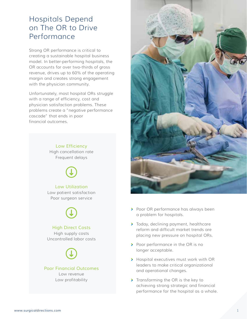## Hospitals Depend on The OR to Drive Performance

Strong OR performance is critical to creating a sustainable hospital business model. In better-performing hospitals, the OR accounts for over two-thirds of gross revenue, drives up to 60% of the operating margin and creates strong engagement with the physician community.

Unfortunately, most hospital ORs struggle with a range of efficiency, cost and physician satisfaction problems. These problems create a "negative performance cascade" that ends in poor financial outcomes.

> *Low Efficiency* High cancellation rate Frequent delays



#### *Low Utilization*

Low patient satisfaction Poor surgeon service



#### *High Direct Costs*

High supply costs Uncontrolled labor costs

### *Poor Financial Outcomes*

Low revenue Low profitability



- **>** Poor OR performance has always been a problem for hospitals.
- > Today, declining payment, healthcare reform and difficult market trends are placing new pressure on hospital ORs.
- Poor performance in the OR is no longer acceptable.
- **>** Hospital executives must work with OR leaders to make critical organizational and operational changes.
- Transforming the OR is the key to achieving strong strategic and financial performance for the hospital as a whole.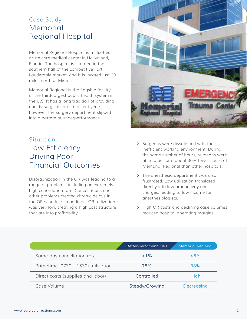### Case Study Memorial Regional Hospital

Memorial Regional Hospital is a 553-bed acute care medical center in Hollywood, Florida. The hospital is situated in the southern half of the competitive Fort Lauderdale market, and it is located just 20 miles north of Miami.

Memorial Regional is the flagship facility of the third-largest public health system in the U.S. It has a long tradition of providing quality surgical care. In recent years, however, the surgery department slipped into a pattern of underperformance.

### **Situation** Low Efficiency Driving Poor Financial Outcomes

Disorganization in the OR was leading to a range of problems, including an extremely high cancellation rate. Cancellations and other problems created chronic delays in the OR schedule. In addition, OR utilization was very low, creating a high cost structure that ate into profitability.



- Surgeons were dissatisfied with the inefficient working environment. During the same number of hours, surgeons were able to perform about 30% fewer cases at Memorial Regional than other hospitals.
- > The anesthesia department was also frustrated. Low utilization translated directly into low productivity and charges, leading to low income for anesthesiologists.
- > High OR costs and declining case volumes reduced hospital operating margins.

|                                     | Better-performing ORs | Memorial Regional |
|-------------------------------------|-----------------------|-------------------|
| Same-day cancellation rate          | $1\%$                 | $>8\%$            |
| Primetime (0730 - 1530) utilization | 75%                   | 38%               |
| Direct costs (supplies and labor)   | Controlled            | High              |
| Case Volume                         | Steady/Growing        | <b>Decreasing</b> |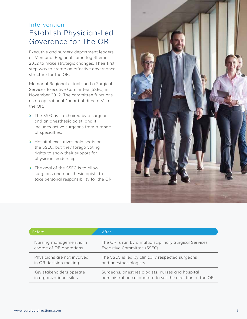### Intervention Establish Physician-Led Goverance for The OR

Executive and surgery department leaders at Memorial Regional came together in 2012 to make strategic changes. Their first step was to create an effective governance structure for the OR.

Memorial Regional established a Surgical Services Executive Committee (SSEC) in November 2012. The committee functions as an operational "board of directors" for the OR.

- The SSEC is co-chaired by a surgeon and an anesthesiologist, and it includes active surgeons from a range of specialties.
- > Hospital executives hold seats on the SSEC, but they forego voting rights to show their support for physician leadership.
- > The goal of the SSEC is to allow surgeons and anesthesiologists to take personal responsibility for the OR.



| <b>Before</b>               | After                                                     |
|-----------------------------|-----------------------------------------------------------|
| Nursing management is in    | The OR is run by a multidisciplinary Surgical Services    |
| charge of OR operations     | Executive Committee (SSEC)                                |
| Physicians are not involved | The SSEC is led by clinically respected surgeons          |
| in OR decision making       | and anesthesiologists                                     |
| Key stakeholders operate    | Surgeons, anesthesiologists, nurses and hospital          |
| in organizational silos     | administration collaborate to set the direction of the OR |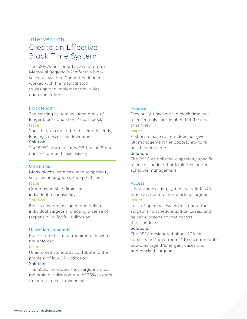### Intervention Create an Effective Block Time System

The SSEC's first priority was to reform Memorial Regional's ineffective block schedule system. Committee leaders worked with the medical staff to design and implement new rules and expectations.

#### *Block length:*

The existing system included a mix of longer blocks and short 4-hour block *Issue:*

Short blocks cannot be utilized efficiently, leading to excessive downtime

#### *Solution:*

The SSEC now allocates OR time in 8-hour and 10-hour units exclusively

#### *Ownership:*

Many blocks were assigned to specialty services or surgeon group practices *Issue:*

Group ownership diminishes individual responsibility

#### *Solution:*

Blocks now are assigned primarily to individual surgeons, creating a sense of responsibility for full utilization

#### *Utilization standards:*

Block time utilization requirements were not enforced

#### *Issue:*

Unenforced standards contribute to the problem of low OR utilization

#### *Solution:*

The SSEC mandated that surgeons must maintain a utilization rate of 75% in order to maintain block ownership

#### *Release:*

Previously, unscheduled block time was released only shortly ahead of the day of surgery

#### *Issue:*

A short release system does not give OR management the opportunity to fill unscheduled time

#### *Solution:*

The SSEC established a specialty-specific release schedule that facilitates better schedule management

#### *Access:*

Under the existing system, very little OR time was open to non-blocked surgeons *Issue:*

Lack of open access makes it hard for surgeons to schedule add-on cases; and newer surgeons cannot access the schedule

#### *Solution:*

The SSEC designated about 20% of capacity as "open rooms" to accommodate add-ons, urgent/emergent cases and non-blocked surgeons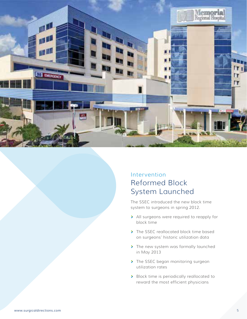

### Intervention Reformed Block System Launched

The SSEC introduced the new block time system to surgeons in spring 2012.

- > All surgeons were required to reapply for block time
- > The SSEC reallocated block time based on surgeons' historic utilization data
- > The new system was formally launched in May 2013
- > The SSEC began monitoring surgeon utilization rates
- > Block time is periodically reallocated to reward the most efficient physicians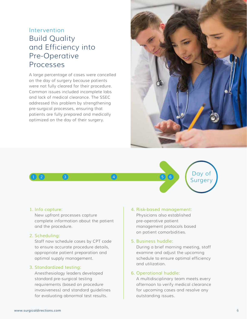### Intervention Build Quality and Efficiency into Pre-Operative Processes

A large percentage of cases were cancelled on the day of surgery because patients were not fully cleared for their procedure. Common issues included incomplete labs and lack of medical clearance. The SSEC addressed this problem by strengthening pre-surgical processes, ensuring that patients are fully prepared and medically optimized on the day of their surgery.





#### *1. Info capture:*

New upfront processes capture complete information about the patient and the procedure.

#### *2. Scheduling:*

Staff now schedule cases by CPT code to ensure accurate procedure details, appropriate patient preparation and optimal supply management.

#### *3. Standardized testing:*

Anesthesiology leaders developed standard pre-surgical testing requirements (based on procedure invasiveness) and standard guidelines for evaluating abnormal test results.

#### *4. Risk-based management:*

Physicians also established pre-operative patient management protocols based on patient comorbidities.

#### *5. Business huddle:*

During a brief morning meeting, staff examine and adjust the upcoming schedule to ensure optimal efficiency and utilization.

#### *6. Operational huddle:*

A multidisciplinary team meets every afternoon to verify medical clearance for upcoming cases and resolve any outstanding issues.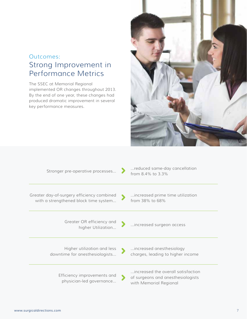### Outcomes: Strong Improvement in Performance Metrics

The SSEC at Memorial Regional implemented OR changes throughout 2013. By the end of one year, these changes had produced dramatic improvement in several key performance measures.



| Stronger pre-operative processes                                                    | reduced same-day cancellation<br>from 8.4% to 3.3%                                                |
|-------------------------------------------------------------------------------------|---------------------------------------------------------------------------------------------------|
| Greater day-of-surgery efficiency combined<br>with a strengthened block time system | increased prime time utilization<br>from 38% to 68%                                               |
| Greater OR efficiency and<br>higher Utilization                                     | increased surgeon access                                                                          |
| Higher utilization and less<br>downtime for anesthesiologists                       | increased anesthesiology<br>charges, leading to higher income                                     |
| Efficiency improvements and<br>physician-led governance                             | increased the overall satisfaction<br>of surgeons and anesthesiologists<br>with Memorial Regional |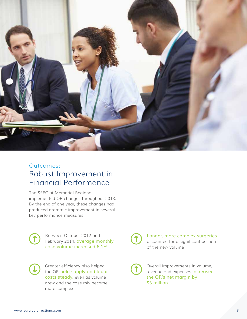

### Outcomes: Robust Improvement in Financial Performance

The SSEC at Memorial Regional implemented OR changes throughout 2013. By the end of one year, these changes had produced dramatic improvement in several key performance measures.

Between October 2012 and February 2014, *average monthly case volume increased 6.1%*

Greater efficiency also helped the OR *hold supply and labor costs steady,* even as volume grew and the case mix became more complex

*Longer, more complex surgeries* accounted for a significant portion of the new volume

Overall improvements in volume, revenue and expenses *increased the OR's net margin by \$3 million*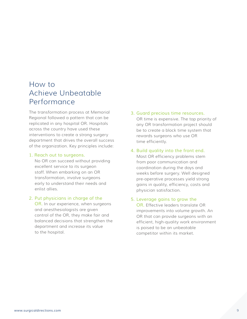### How to Achieve Unbeatable Performance

The transformation process at Memorial Regional followed a pattern that can be replicated in any hospital OR. Hospitals across the country have used these interventions to create a strong surgery department that drives the overall success of the organization. Key principles include:

#### *1. Reach out to surgeons.*

No OR can succeed without providing excellent service to its surgeon staff. When embarking on an OR transformation, involve surgeons early to understand their needs and enlist allies.

*2. Put physicians in charge of the OR.* In our experience, when surgeons and anesthesiologists are given control of the OR, they make fair and balanced decisions that strengthen the

department and increase its value

to the hospital.

*3. Guard precious time resources.* OR time is expensive. The top priority of any OR transformation project should be to create a block time system that rewards surgeons who use OR time efficiently.

#### *4. Build quality into the front end.* Most OR efficiency problems stem from poor communication and coordination during the days and weeks before surgery. Well designed pre-operative processes yield strong gains in quality, efficiency, costs and physician satisfaction.

#### *5. Leverage gains to grow the OR.* Effective leaders translate OR improvements into volume growth. An OR that can provide surgeons with an efficient, high-quality work environment is poised to be an unbeatable

competitor within its market.